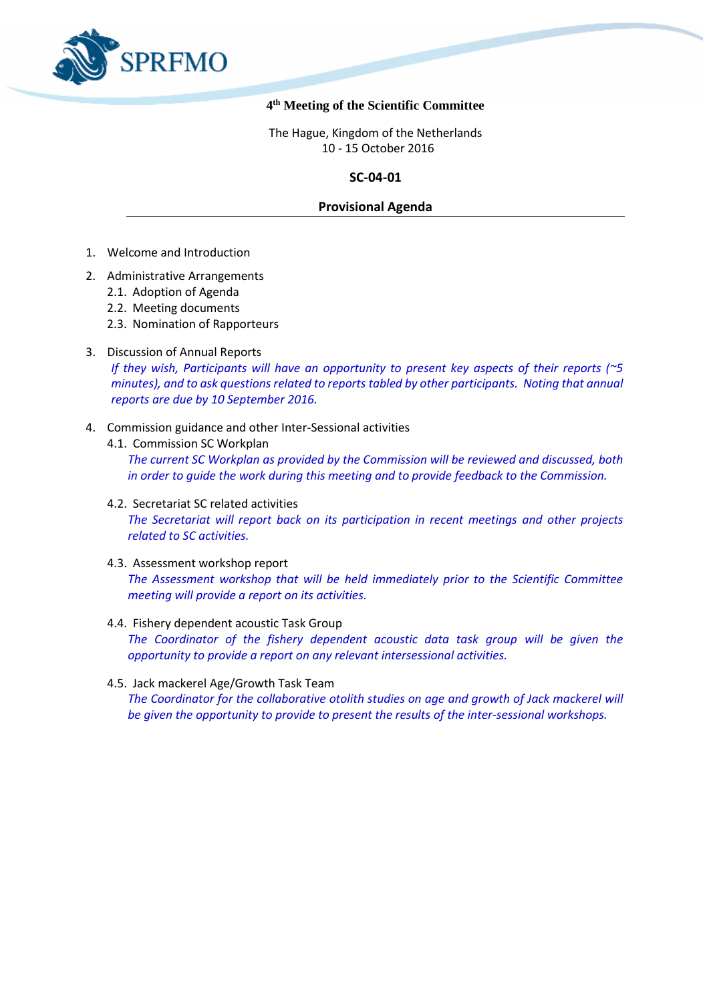

## **4 th Meeting of the Scientific Committee**

The Hague, Kingdom of the Netherlands 10 - 15 October 2016

# **SC-04-01**

# **Provisional Agenda**

- 1. Welcome and Introduction
- 2. Administrative Arrangements
	- 2.1. Adoption of Agenda
	- 2.2. Meeting documents
	- 2.3. Nomination of Rapporteurs
- 3. Discussion of Annual Reports

*If they wish, Participants will have an opportunity to present key aspects of their reports (~5 minutes), and to ask questions related to reports tabled by other participants. Noting that annual reports are due by 10 September 2016.* 

- 4. Commission guidance and other Inter-Sessional activities
	- 4.1. Commission SC Workplan

*The current SC Workplan as provided by the Commission will be reviewed and discussed, both in order to guide the work during this meeting and to provide feedback to the Commission.*

- 4.2. Secretariat SC related activities *The Secretariat will report back on its participation in recent meetings and other projects related to SC activities.*
- 4.3. Assessment workshop report

*The Assessment workshop that will be held immediately prior to the Scientific Committee meeting will provide a report on its activities.*

- 4.4. Fishery dependent acoustic Task Group *The Coordinator of the fishery dependent acoustic data task group will be given the opportunity to provide a report on any relevant intersessional activities.*
- 4.5. Jack mackerel Age/Growth Task Team *The Coordinator for the collaborative otolith studies on age and growth of Jack mackerel will be given the opportunity to provide to present the results of the inter-sessional workshops.*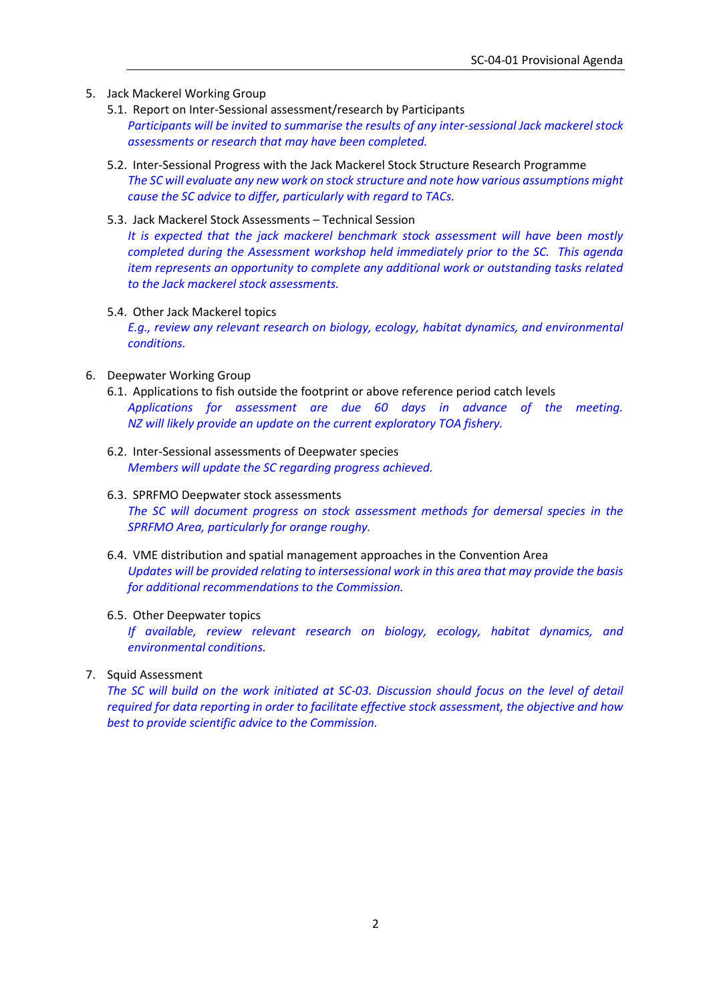- 5. Jack Mackerel Working Group
	- 5.1. Report on Inter-Sessional assessment/research by Participants *Participants will be invited to summarise the results of any inter-sessional Jack mackerel stock assessments or research that may have been completed.*
	- 5.2. Inter-Sessional Progress with the Jack Mackerel Stock Structure Research Programme *The SC will evaluate any new work on stock structure and note how various assumptions might cause the SC advice to differ, particularly with regard to TACs.*
	- 5.3. Jack Mackerel Stock Assessments Technical Session

*It is expected that the jack mackerel benchmark stock assessment will have been mostly completed during the Assessment workshop held immediately prior to the SC. This agenda item represents an opportunity to complete any additional work or outstanding tasks related to the Jack mackerel stock assessments.*

5.4. Other Jack Mackerel topics

*E.g., review any relevant research on biology, ecology, habitat dynamics, and environmental conditions.*

- 6. Deepwater Working Group
	- 6.1. Applications to fish outside the footprint or above reference period catch levels *Applications for assessment are due 60 days in advance of the meeting. NZ will likely provide an update on the current exploratory TOA fishery.*
	- 6.2. Inter-Sessional assessments of Deepwater species *Members will update the SC regarding progress achieved.*
	- 6.3. SPRFMO Deepwater stock assessments *The SC will document progress on stock assessment methods for demersal species in the SPRFMO Area, particularly for orange roughy.*
	- 6.4. VME distribution and spatial management approaches in the Convention Area *Updates will be provided relating to intersessional work in this area that may provide the basis for additional recommendations to the Commission.*
	- 6.5. Other Deepwater topics

*If available, review relevant research on biology, ecology, habitat dynamics, and environmental conditions.*

7. Squid Assessment

*The SC will build on the work initiated at SC-03. Discussion should focus on the level of detail required for data reporting in order to facilitate effective stock assessment, the objective and how best to provide scientific advice to the Commission.*